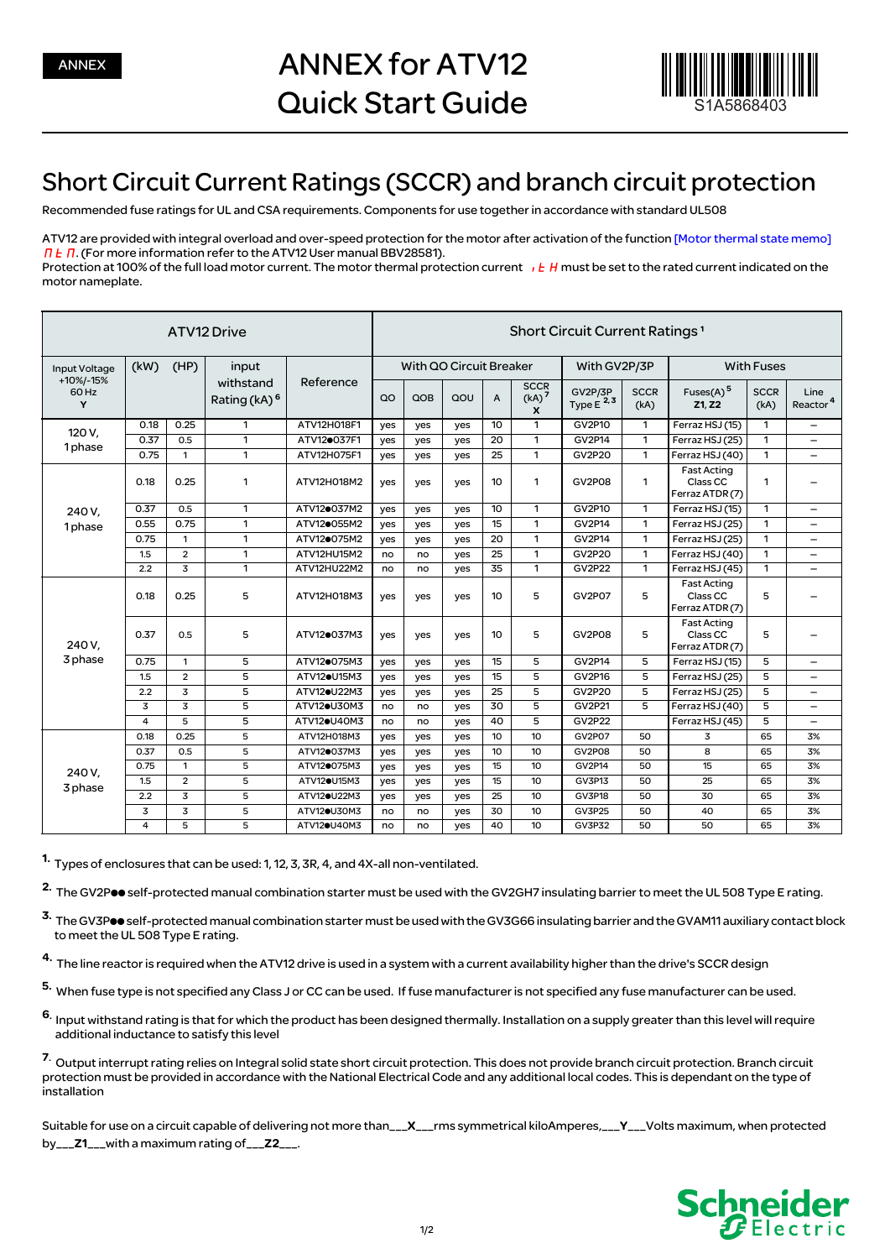

## Short Circuit Current Ratings (SCCR) and branch circuit protection

Recommended fuse ratings for UL and CSA requirements. Components for use together in accordance with standard UL508

ATV12 are provided with integral overload and over-speed protection for the motor after activation of the function [Motor thermal state memo]  $\Pi$   $\overline{E}$   $\Pi$ . (For more information refer to the ATV12 User manual BBV28581). Protection at 100% of the full load motor current. The motor thermal protection current  $\iota$  L H must be set to the rated current indicated on the motor nameplate.

| ATV12 Drive                              |                |                |                                                | <b>Short Circuit Current Ratings 1</b> |                         |     |     |                 |                                       |                           |                     |                                                              |                     |                              |
|------------------------------------------|----------------|----------------|------------------------------------------------|----------------------------------------|-------------------------|-----|-----|-----------------|---------------------------------------|---------------------------|---------------------|--------------------------------------------------------------|---------------------|------------------------------|
| Input Voltage<br>+10%/-15%<br>60 Hz<br>Y | (kW)<br>(HP)   |                | input<br>withstand<br>Rating (kA) <sup>6</sup> | Reference                              | With QO Circuit Breaker |     |     |                 |                                       | With GV2P/3P              |                     | <b>With Fuses</b>                                            |                     |                              |
|                                          |                |                |                                                |                                        | QO                      | QOB | QOU | $\overline{A}$  | <b>SCCR</b><br>(kA) <sup>7</sup><br>X | GV2P/3P<br>Type $E^{2,3}$ | <b>SCCR</b><br>(kA) | Fuses(A) $5$<br>Z1, Z2                                       | <b>SCCR</b><br>(kA) | Line<br>Reactor <sup>4</sup> |
| 120 V,<br>1 <sub>phase</sub>             | 0.18           | 0.25           | 1                                              | ATV12H018F1                            | yes                     | yes | yes | 10              | $\mathbf{1}$                          | GV2P10                    | 1                   | Ferraz HSJ (15)                                              | 1                   | $\qquad \qquad -$            |
|                                          | 0.37           | 0.5            | $\mathbf{1}$                                   | ATV120037F1                            | yes                     | yes | yes | 20              | $\mathbf{1}$                          | GV2P14                    | $\mathbf{1}$        | Ferraz HSJ (25)                                              | $\mathbf{1}$        | -                            |
|                                          | 0.75           | $\mathbf{1}$   | $\mathbf{1}$                                   | ATV12H075F1                            | yes                     | yes | yes | 25              | $\mathbf{1}$                          | <b>GV2P20</b>             | $\mathbf{1}$        | Ferraz HSJ (40)                                              | 1                   | $\overline{\phantom{0}}$     |
|                                          | 0.18           | 0.25           | 1                                              | ATV12H018M2                            | yes                     | yes | yes | 10              | $\mathbf{1}$                          | <b>GV2P08</b>             | 1                   | <b>Fast Acting</b><br>Class CC<br>Ferraz ATDR (7)            | 1                   |                              |
| 240 V.                                   | 0.37           | 0.5            | $\mathbf{1}$                                   | ATV120037M2                            | yes                     | yes | yes | 10 <sup>2</sup> | $\mathbf{1}$                          | GV2P10                    | $\mathbf{1}$        | Ferraz HSJ (15)                                              | 1                   | -                            |
| 1 <sub>phase</sub>                       | 0.55           | 0.75           | 1                                              | ATV12 <sup>o</sup> 055M2               | yes                     | yes | yes | 15              | 1                                     | <b>GV2P14</b>             | 1                   | Ferraz HSJ (25)                                              | 1                   | —                            |
|                                          | 0.75           | $\mathbf{1}$   | $\mathbf{1}$                                   | ATV120075M2                            | yes                     | yes | yes | 20              | $\mathbf{1}$                          | <b>GV2P14</b>             | $\mathbf{1}$        | Ferraz HSJ (25)                                              | 1                   | $\overline{\phantom{0}}$     |
|                                          | 1.5            | $\overline{2}$ | $\mathbf{1}$                                   | ATV12HU15M2                            | no                      | no  | yes | 25              | $\mathbf{1}$                          | <b>GV2P20</b>             | $\mathbf{1}$        | Ferraz HSJ (40)                                              | 1                   | $\overline{\phantom{0}}$     |
|                                          | 2.2            | 3              | $\mathbf{1}$                                   | ATV12HU22M2                            | no                      | no  | yes | 35              | 1                                     | <b>GV2P22</b>             | 1                   | Ferraz HSJ (45)                                              | 1                   | $\overline{\phantom{0}}$     |
| 240 V.<br>3 phase                        | 0.18           | 0.25           | 5                                              | ATV12H018M3                            | yes                     | yes | yes | 10 <sup>2</sup> | 5                                     | <b>GV2P07</b>             | 5                   | <b>Fast Acting</b><br>Class <sub>CC</sub><br>Ferraz ATDR (7) | 5                   |                              |
|                                          | 0.37           | 0.5            | 5                                              | ATV120037M3                            | yes                     | yes | yes | 10              | 5                                     | <b>GV2P08</b>             | 5                   | <b>Fast Acting</b><br>Class CC<br>Ferraz ATDR (7)            | 5                   |                              |
|                                          | 0.75           | $\mathbf{1}$   | 5                                              | ATV120075M3                            | yes                     | yes | yes | 15              | 5                                     | GV2P14                    | 5                   | Ferraz HSJ (15)                                              | 5                   | —                            |
|                                          | 1.5            | $\overline{2}$ | 5                                              | ATV12 <sup>e</sup> U15M3               | yes                     | yes | yes | 15              | 5                                     | <b>GV2P16</b>             | 5                   | Ferraz HSJ (25)                                              | 5                   | -                            |
|                                          | 2.2            | 3              | 5                                              | ATV12 <sup>O</sup> U22M3               | yes                     | yes | yes | 25              | 5                                     | <b>GV2P20</b>             | 5                   | Ferraz HSJ (25)                                              | 5                   | —                            |
|                                          | 3              | 3              | 5                                              | ATV12·U30M3                            | no                      | no  | yes | 30              | 5                                     | GV2P21                    | 5                   | Ferraz HSJ (40)                                              | 5                   | —                            |
|                                          | $\overline{a}$ | 5              | 5                                              | ATV12 <sup>OU40M3</sup>                | no                      | no  | yes | 40              | 5                                     | <b>GV2P22</b>             |                     | Ferraz HSJ (45)                                              | 5                   | $\overline{\phantom{0}}$     |
| 240 V,<br>3 phase                        | 0.18           | 0.25           | 5                                              | ATV12H018M3                            | yes                     | yes | yes | 10              | 10                                    | <b>GV2P07</b>             | 50                  | 3                                                            | 65                  | 3%                           |
|                                          | 0.37           | 0.5            | 5                                              | ATV120037M3                            | yes                     | yes | yes | 10              | 10                                    | <b>GV2P08</b>             | 50                  | 8                                                            | 65                  | 3%                           |
|                                          | 0.75           | $\mathbf{1}$   | 5                                              | ATV120075M3                            | yes                     | yes | yes | 15              | 10                                    | GV2P14                    | 50                  | 15                                                           | 65                  | 3%                           |
|                                          | 1.5            | $\overline{2}$ | 5                                              | ATV12 <sup>OU15M3</sup>                | yes                     | yes | yes | 15              | 10                                    | <b>GV3P13</b>             | 50                  | 25                                                           | 65                  | 3%                           |
|                                          | 2.2            | $\overline{3}$ | 5                                              | ATV12 <sup>O</sup> U22M3               | yes                     | yes | yes | 25              | 10                                    | GV3P18                    | 50                  | 30                                                           | 65                  | 3%                           |
|                                          | 3              | 3              | 5                                              | ATV12 <sup>O</sup> U30M3               | no                      | no  | yes | 30              | 10                                    | <b>GV3P25</b>             | 50                  | 40                                                           | 65                  | 3%                           |
|                                          | 4              | 5              | 5                                              | ATV12 <sup>O</sup> U40M3               | no                      | no  | yes | 40              | 10                                    | <b>GV3P32</b>             | 50                  | 50                                                           | 65                  | 3%                           |

1. Types of enclosures that can be used: 1, 12, 3, 3R, 4, and 4X-all non-ventilated.

2. The GV2Poo self-protected manual combination starter must be used with the GV2GH7 insulating barrier to meet the UL 508 Type E rating.

3. The GV3Poo self-protected manual combination starter must be used with the GV3G66 insulating barrier and the GVAM11 auxiliary contact block to meet the UL 508 Type E rating.

4. The line reactor is required when the ATV12 drive is used in a system with a current availability higher than the drive's SCCR design

5. When fuse type is not specified any Class J or CC can be used. If fuse manufacturer is not specified any fuse manufacturer can be used.

6. Input withstand rating is that for which the product has been designed thermally. Installation on a supply greater than this level will require additional inductance to satisfy this level

7. Output interrupt rating relies on Integral solid state short circuit protection. This does not provide branch circuit protection. Branch circuit protection must be provided in accordance with the National Electrical Code and any additional local codes. This is dependant on the type of .<br>installation

Suitable for use on a circuit capable of delivering not more than\_\_\_X\_\_\_rms symmetrical kiloAmperes,\_\_\_Y\_\_\_Volts maximum, when protected by\_\_\_Z1\_\_\_with a maximum rating of\_\_\_Z2\_\_\_.